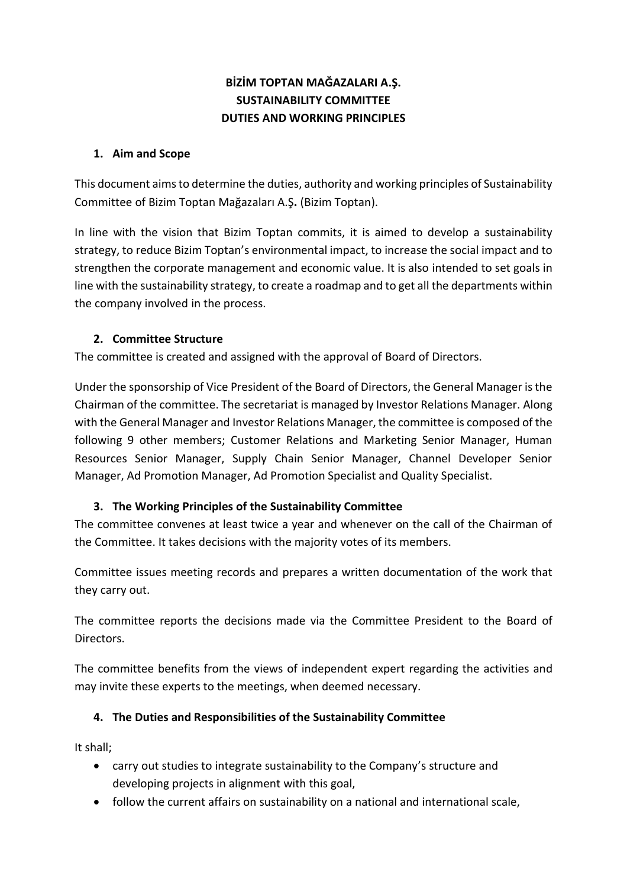# **BİZİM TOPTAN MAĞAZALARI A.Ş. SUSTAINABILITY COMMITTEE DUTIES AND WORKING PRINCIPLES**

#### **1. Aim and Scope**

This document aims to determine the duties, authority and working principles of Sustainability Committee of Bizim Toptan Mağazaları A.Ş**.** (Bizim Toptan).

In line with the vision that Bizim Toptan commits, it is aimed to develop a sustainability strategy, to reduce Bizim Toptan's environmental impact, to increase the social impact and to strengthen the corporate management and economic value. It is also intended to set goals in line with the sustainability strategy, to create a roadmap and to get all the departments within the company involved in the process.

## **2. Committee Structure**

The committee is created and assigned with the approval of Board of Directors.

Under the sponsorship of Vice President of the Board of Directors, the General Manager is the Chairman of the committee. The secretariat is managed by Investor Relations Manager. Along with the General Manager and Investor Relations Manager, the committee is composed of the following 9 other members; Customer Relations and Marketing Senior Manager, Human Resources Senior Manager, Supply Chain Senior Manager, Channel Developer Senior Manager, Ad Promotion Manager, Ad Promotion Specialist and Quality Specialist.

## **3. The Working Principles of the Sustainability Committee**

The committee convenes at least twice a year and whenever on the call of the Chairman of the Committee. It takes decisions with the majority votes of its members.

Committee issues meeting records and prepares a written documentation of the work that they carry out.

The committee reports the decisions made via the Committee President to the Board of Directors.

The committee benefits from the views of independent expert regarding the activities and may invite these experts to the meetings, when deemed necessary.

## **4. The Duties and Responsibilities of the Sustainability Committee**

It shall;

- carry out studies to integrate sustainability to the Company's structure and developing projects in alignment with this goal,
- follow the current affairs on sustainability on a national and international scale,